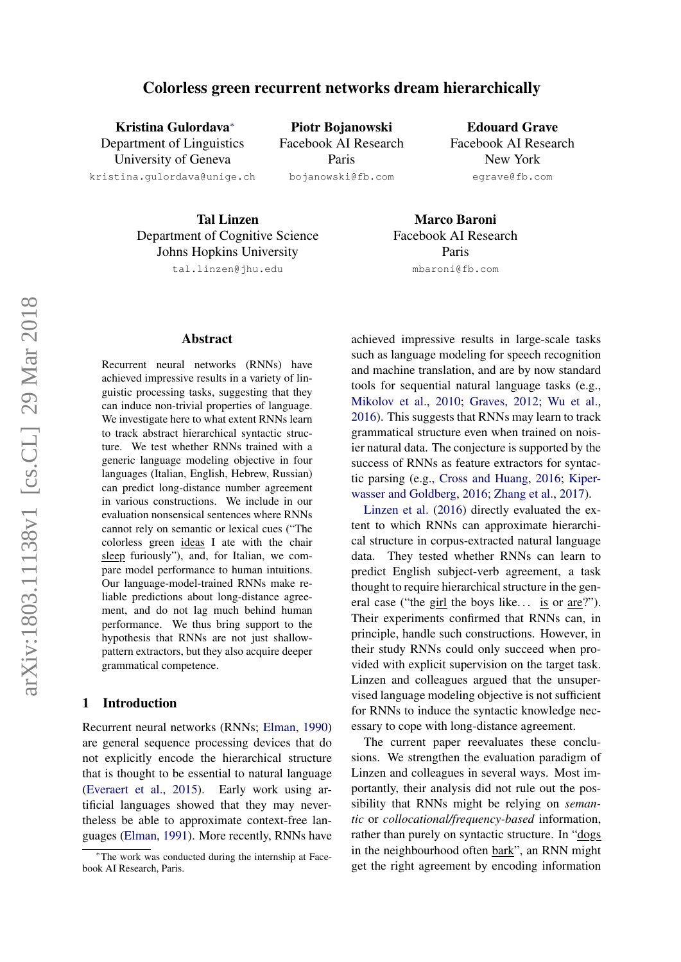# Colorless green recurrent networks dream hierarchically

Kristina Gulordava<sup>∗</sup> Department of Linguistics University of Geneva kristina.gulordava@unige.ch

Piotr Bojanowski Facebook AI Research Paris

bojanowski@fb.com

Edouard Grave Facebook AI Research New York egrave@fb.com

Tal Linzen Department of Cognitive Science Johns Hopkins University

tal.linzen@jhu.edu

#### Abstract

Recurrent neural networks (RNNs) have achieved impressive results in a variety of linguistic processing tasks, suggesting that they can induce non-trivial properties of language. We investigate here to what extent RNNs learn to track abstract hierarchical syntactic structure. We test whether RNNs trained with a generic language modeling objective in four languages (Italian, English, Hebrew, Russian) can predict long-distance number agreement in various constructions. We include in our evaluation nonsensical sentences where RNNs cannot rely on semantic or lexical cues ("The colorless green ideas I ate with the chair sleep furiously"), and, for Italian, we compare model performance to human intuitions. Our language-model-trained RNNs make reliable predictions about long-distance agreement, and do not lag much behind human performance. We thus bring support to the hypothesis that RNNs are not just shallowpattern extractors, but they also acquire deeper grammatical competence.

### 1 Introduction

Recurrent neural networks (RNNs; [Elman,](#page-9-0) [1990\)](#page-9-0) are general sequence processing devices that do not explicitly encode the hierarchical structure that is thought to be essential to natural language [\(Everaert et al.,](#page-9-1) [2015\)](#page-9-1). Early work using artificial languages showed that they may nevertheless be able to approximate context-free languages [\(Elman,](#page-9-2) [1991\)](#page-9-2). More recently, RNNs have

Marco Baroni Facebook AI Research Paris mbaroni@fb.com

achieved impressive results in large-scale tasks such as language modeling for speech recognition and machine translation, and are by now standard tools for sequential natural language tasks (e.g., [Mikolov et al.,](#page-9-3) [2010;](#page-9-3) [Graves,](#page-9-4) [2012;](#page-9-4) [Wu et al.,](#page-10-0) [2016\)](#page-10-0). This suggests that RNNs may learn to track grammatical structure even when trained on noisier natural data. The conjecture is supported by the success of RNNs as feature extractors for syntactic parsing (e.g., [Cross and Huang,](#page-9-5) [2016;](#page-9-5) [Kiper](#page-9-6)[wasser and Goldberg,](#page-9-6) [2016;](#page-9-6) [Zhang et al.,](#page-10-1) [2017\)](#page-10-1).

[Linzen et al.](#page-9-7) [\(2016\)](#page-9-7) directly evaluated the extent to which RNNs can approximate hierarchical structure in corpus-extracted natural language data. They tested whether RNNs can learn to predict English subject-verb agreement, a task thought to require hierarchical structure in the general case ("the girl the boys like... is or are?"). Their experiments confirmed that RNNs can, in principle, handle such constructions. However, in their study RNNs could only succeed when provided with explicit supervision on the target task. Linzen and colleagues argued that the unsupervised language modeling objective is not sufficient for RNNs to induce the syntactic knowledge necessary to cope with long-distance agreement.

The current paper reevaluates these conclusions. We strengthen the evaluation paradigm of Linzen and colleagues in several ways. Most importantly, their analysis did not rule out the possibility that RNNs might be relying on *semantic* or *collocational/frequency-based* information, rather than purely on syntactic structure. In "dogs in the neighbourhood often bark", an RNN might get the right agreement by encoding information

<sup>∗</sup>The work was conducted during the internship at Facebook AI Research, Paris.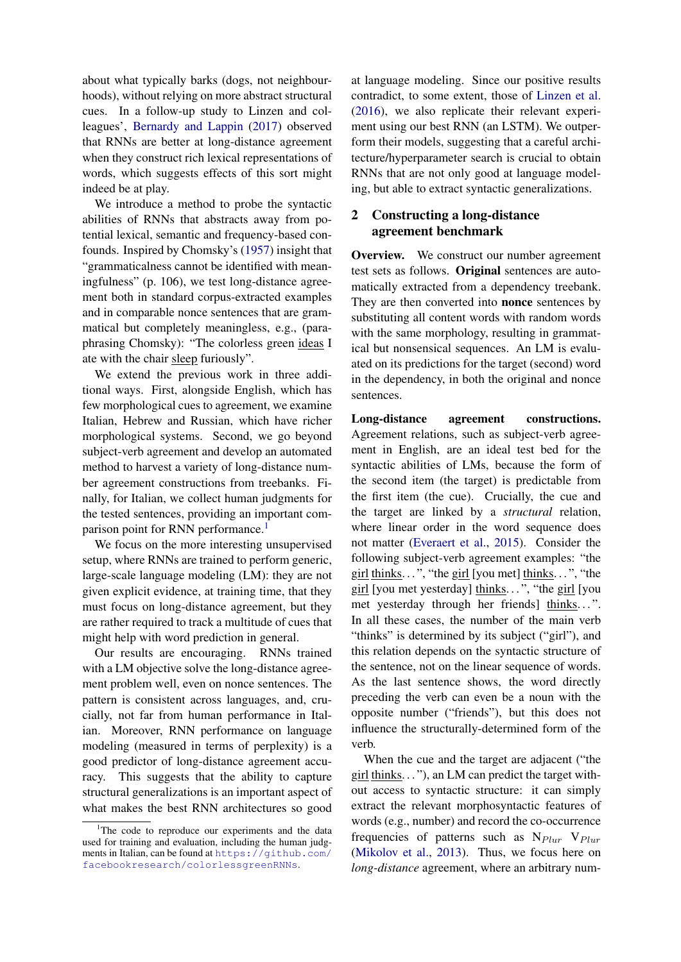about what typically barks (dogs, not neighbourhoods), without relying on more abstract structural cues. In a follow-up study to Linzen and colleagues', [Bernardy and Lappin](#page-8-0) [\(2017\)](#page-8-0) observed that RNNs are better at long-distance agreement when they construct rich lexical representations of words, which suggests effects of this sort might indeed be at play.

We introduce a method to probe the syntactic abilities of RNNs that abstracts away from potential lexical, semantic and frequency-based confounds. Inspired by Chomsky's [\(1957\)](#page-8-1) insight that "grammaticalness cannot be identified with meaningfulness" (p. 106), we test long-distance agreement both in standard corpus-extracted examples and in comparable nonce sentences that are grammatical but completely meaningless, e.g., (paraphrasing Chomsky): "The colorless green ideas I ate with the chair sleep furiously".

We extend the previous work in three additional ways. First, alongside English, which has few morphological cues to agreement, we examine Italian, Hebrew and Russian, which have richer morphological systems. Second, we go beyond subject-verb agreement and develop an automated method to harvest a variety of long-distance number agreement constructions from treebanks. Finally, for Italian, we collect human judgments for the tested sentences, providing an important com-parison point for RNN performance.<sup>[1](#page-1-0)</sup>

We focus on the more interesting unsupervised setup, where RNNs are trained to perform generic, large-scale language modeling (LM): they are not given explicit evidence, at training time, that they must focus on long-distance agreement, but they are rather required to track a multitude of cues that might help with word prediction in general.

Our results are encouraging. RNNs trained with a LM objective solve the long-distance agreement problem well, even on nonce sentences. The pattern is consistent across languages, and, crucially, not far from human performance in Italian. Moreover, RNN performance on language modeling (measured in terms of perplexity) is a good predictor of long-distance agreement accuracy. This suggests that the ability to capture structural generalizations is an important aspect of what makes the best RNN architectures so good at language modeling. Since our positive results contradict, to some extent, those of [Linzen et al.](#page-9-7) [\(2016\)](#page-9-7), we also replicate their relevant experiment using our best RNN (an LSTM). We outperform their models, suggesting that a careful architecture/hyperparameter search is crucial to obtain RNNs that are not only good at language modeling, but able to extract syntactic generalizations.

## <span id="page-1-1"></span>2 Constructing a long-distance agreement benchmark

Overview. We construct our number agreement test sets as follows. Original sentences are automatically extracted from a dependency treebank. They are then converted into nonce sentences by substituting all content words with random words with the same morphology, resulting in grammatical but nonsensical sequences. An LM is evaluated on its predictions for the target (second) word in the dependency, in both the original and nonce sentences.

Long-distance agreement constructions. Agreement relations, such as subject-verb agreement in English, are an ideal test bed for the syntactic abilities of LMs, because the form of the second item (the target) is predictable from the first item (the cue). Crucially, the cue and the target are linked by a *structural* relation, where linear order in the word sequence does not matter [\(Everaert et al.,](#page-9-1) [2015\)](#page-9-1). Consider the following subject-verb agreement examples: "the girl thinks.  $\ldots$ ", "the girl [you met] thinks.  $\ldots$ ", "the girl [you met yesterday] thinks. . . ", "the girl [you met yesterday through her friends] thinks...". In all these cases, the number of the main verb "thinks" is determined by its subject ("girl"), and this relation depends on the syntactic structure of the sentence, not on the linear sequence of words. As the last sentence shows, the word directly preceding the verb can even be a noun with the opposite number ("friends"), but this does not influence the structurally-determined form of the verb.

When the cue and the target are adjacent ("the  $girl$  thinks.  $\ldots$ "), an LM can predict the target without access to syntactic structure: it can simply extract the relevant morphosyntactic features of words (e.g., number) and record the co-occurrence frequencies of patterns such as  $N_{Plur}$   $V_{Plur}$ [\(Mikolov et al.,](#page-9-8) [2013\)](#page-9-8). Thus, we focus here on *long-distance* agreement, where an arbitrary num-

<span id="page-1-0"></span><sup>&</sup>lt;sup>1</sup>The code to reproduce our experiments and the data used for training and evaluation, including the human judgments in Italian, can be found at [https://github.com/](https://github.com/facebookresearch/colorlessgreenRNNs) [facebookresearch/colorlessgreenRNNs](https://github.com/facebookresearch/colorlessgreenRNNs).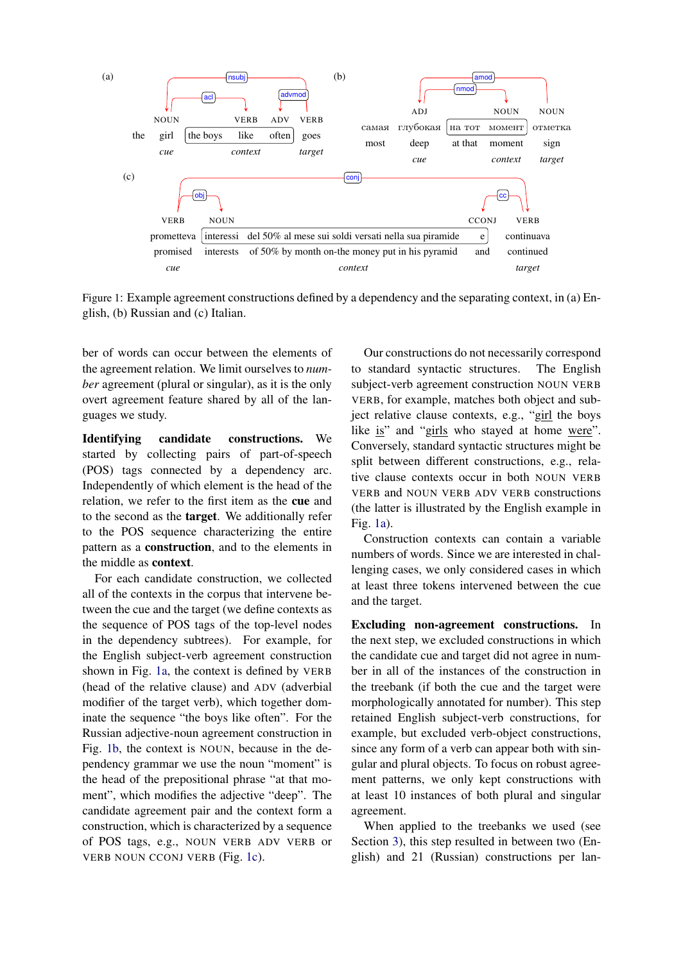<span id="page-2-2"></span><span id="page-2-1"></span><span id="page-2-0"></span>

Figure 1: Example agreement constructions defined by a dependency and the separating context, in (a) English, (b) Russian and (c) Italian.

ber of words can occur between the elements of the agreement relation. We limit ourselves to *number* agreement (plural or singular), as it is the only overt agreement feature shared by all of the languages we study.

Identifying candidate constructions. We started by collecting pairs of part-of-speech (POS) tags connected by a dependency arc. Independently of which element is the head of the relation, we refer to the first item as the cue and to the second as the target. We additionally refer to the POS sequence characterizing the entire pattern as a construction, and to the elements in the middle as context.

For each candidate construction, we collected all of the contexts in the corpus that intervene between the cue and the target (we define contexts as the sequence of POS tags of the top-level nodes in the dependency subtrees). For example, for the English subject-verb agreement construction shown in Fig. [1a,](#page-2-0) the context is defined by VERB (head of the relative clause) and ADV (adverbial modifier of the target verb), which together dominate the sequence "the boys like often". For the Russian adjective-noun agreement construction in Fig. [1b,](#page-2-1) the context is NOUN, because in the dependency grammar we use the noun "moment" is the head of the prepositional phrase "at that moment", which modifies the adjective "deep". The candidate agreement pair and the context form a construction, which is characterized by a sequence of POS tags, e.g., NOUN VERB ADV VERB or VERB NOUN CCONJ VERB (Fig. [1c\)](#page-2-2).

Our constructions do not necessarily correspond to standard syntactic structures. The English subject-verb agreement construction NOUN VERB VERB, for example, matches both object and subject relative clause contexts, e.g., "girl the boys like is" and "girls who stayed at home were". Conversely, standard syntactic structures might be split between different constructions, e.g., relative clause contexts occur in both NOUN VERB VERB and NOUN VERB ADV VERB constructions (the latter is illustrated by the English example in Fig. [1a\)](#page-2-0).

Construction contexts can contain a variable numbers of words. Since we are interested in challenging cases, we only considered cases in which at least three tokens intervened between the cue and the target.

Excluding non-agreement constructions. In the next step, we excluded constructions in which the candidate cue and target did not agree in number in all of the instances of the construction in the treebank (if both the cue and the target were morphologically annotated for number). This step retained English subject-verb constructions, for example, but excluded verb-object constructions, since any form of a verb can appear both with singular and plural objects. To focus on robust agreement patterns, we only kept constructions with at least 10 instances of both plural and singular agreement.

When applied to the treebanks we used (see Section [3\)](#page-3-0), this step resulted in between two (English) and 21 (Russian) constructions per lan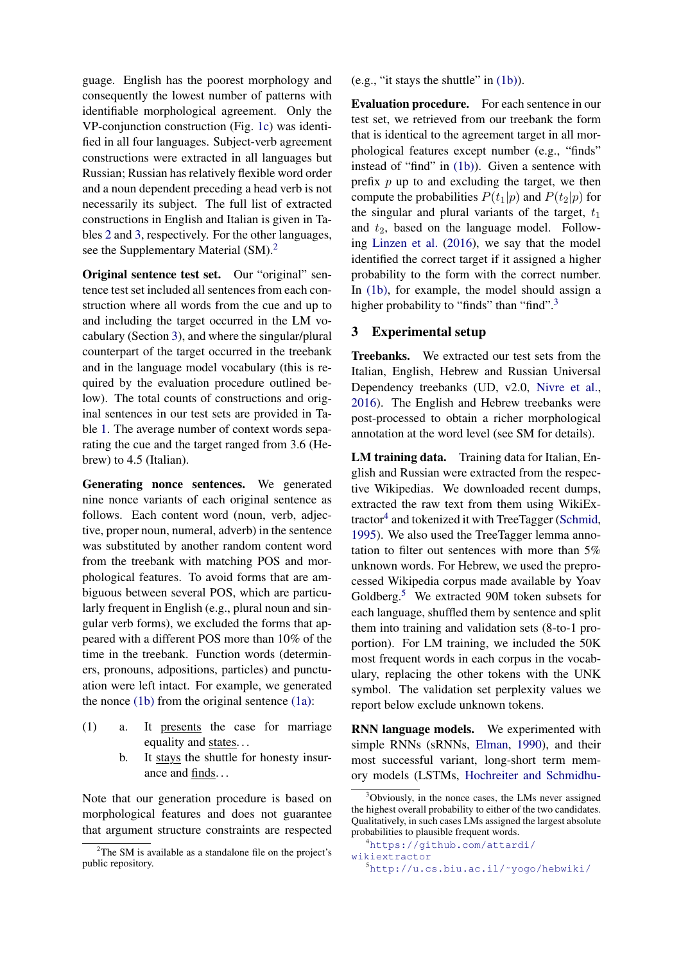guage. English has the poorest morphology and consequently the lowest number of patterns with identifiable morphological agreement. Only the VP-conjunction construction (Fig. [1c\)](#page-2-2) was identified in all four languages. Subject-verb agreement constructions were extracted in all languages but Russian; Russian has relatively flexible word order and a noun dependent preceding a head verb is not necessarily its subject. The full list of extracted constructions in English and Italian is given in Tables [2](#page-5-0) and [3,](#page-6-0) respectively. For the other languages, see the Supplementary Material (SM).<sup>[2](#page-3-1)</sup>

Original sentence test set. Our "original" sentence test set included all sentences from each construction where all words from the cue and up to and including the target occurred in the LM vocabulary (Section [3\)](#page-3-0), and where the singular/plural counterpart of the target occurred in the treebank and in the language model vocabulary (this is required by the evaluation procedure outlined below). The total counts of constructions and original sentences in our test sets are provided in Table [1.](#page-4-0) The average number of context words separating the cue and the target ranged from 3.6 (Hebrew) to 4.5 (Italian).

Generating nonce sentences. We generated nine nonce variants of each original sentence as follows. Each content word (noun, verb, adjective, proper noun, numeral, adverb) in the sentence was substituted by another random content word from the treebank with matching POS and morphological features. To avoid forms that are ambiguous between several POS, which are particularly frequent in English (e.g., plural noun and singular verb forms), we excluded the forms that appeared with a different POS more than 10% of the time in the treebank. Function words (determiners, pronouns, adpositions, particles) and punctuation were left intact. For example, we generated the nonce  $(1b)$  from the original sentence  $(1a)$ :

- <span id="page-3-3"></span><span id="page-3-2"></span> $(1)$  a. It presents the case for marriage equality and states...
	- b. It stays the shuttle for honesty insurance and finds...

Note that our generation procedure is based on morphological features and does not guarantee that argument structure constraints are respected (e.g., "it stays the shuttle" in [\(1b\)\)](#page-3-2).

Evaluation procedure. For each sentence in our test set, we retrieved from our treebank the form that is identical to the agreement target in all morphological features except number (e.g., "finds" instead of "find" in [\(1b\)\)](#page-3-2). Given a sentence with prefix  $p$  up to and excluding the target, we then compute the probabilities  $P(t_1|p)$  and  $P(t_2|p)$  for the singular and plural variants of the target,  $t_1$ and  $t_2$ , based on the language model. Following [Linzen et al.](#page-9-7) [\(2016\)](#page-9-7), we say that the model identified the correct target if it assigned a higher probability to the form with the correct number. In [\(1b\),](#page-3-2) for example, the model should assign a higher probability to "finds" than "find".<sup>[3](#page-3-4)</sup>

### <span id="page-3-0"></span>3 Experimental setup

Treebanks. We extracted our test sets from the Italian, English, Hebrew and Russian Universal Dependency treebanks (UD, v2.0, [Nivre et al.,](#page-9-9) [2016\)](#page-9-9). The English and Hebrew treebanks were post-processed to obtain a richer morphological annotation at the word level (see SM for details).

LM training data. Training data for Italian, English and Russian were extracted from the respective Wikipedias. We downloaded recent dumps, extracted the raw text from them using WikiEx-tractor<sup>[4](#page-3-5)</sup> and tokenized it with TreeTagger [\(Schmid,](#page-10-2) [1995\)](#page-10-2). We also used the TreeTagger lemma annotation to filter out sentences with more than 5% unknown words. For Hebrew, we used the preprocessed Wikipedia corpus made available by Yoav Goldberg.[5](#page-3-6) We extracted 90M token subsets for each language, shuffled them by sentence and split them into training and validation sets (8-to-1 proportion). For LM training, we included the 50K most frequent words in each corpus in the vocabulary, replacing the other tokens with the UNK symbol. The validation set perplexity values we report below exclude unknown tokens.

RNN language models. We experimented with simple RNNs (sRNNs, [Elman,](#page-9-0) [1990\)](#page-9-0), and their most successful variant, long-short term memory models (LSTMs, [Hochreiter and Schmidhu-](#page-9-10)

<span id="page-3-1"></span><sup>&</sup>lt;sup>2</sup>The SM is available as a standalone file on the project's public repository.

<span id="page-3-4"></span><sup>&</sup>lt;sup>3</sup>[Obviously, in the nonce cases, the LMs never assigned](#page-9-10) [the highest overall probability to either of the two candidates.](#page-9-10) [Qualitatively, in such cases LMs assigned the largest absolute](#page-9-10) [probabilities to plausible frequent words.](#page-9-10)

<span id="page-3-5"></span><sup>4</sup>[https://github.com/attardi/](#page-9-10) [wikiextractor](#page-9-10)

<span id="page-3-6"></span><sup>5</sup>[http://u.cs.biu.ac.il/˜yogo/hebwiki/](#page-9-10)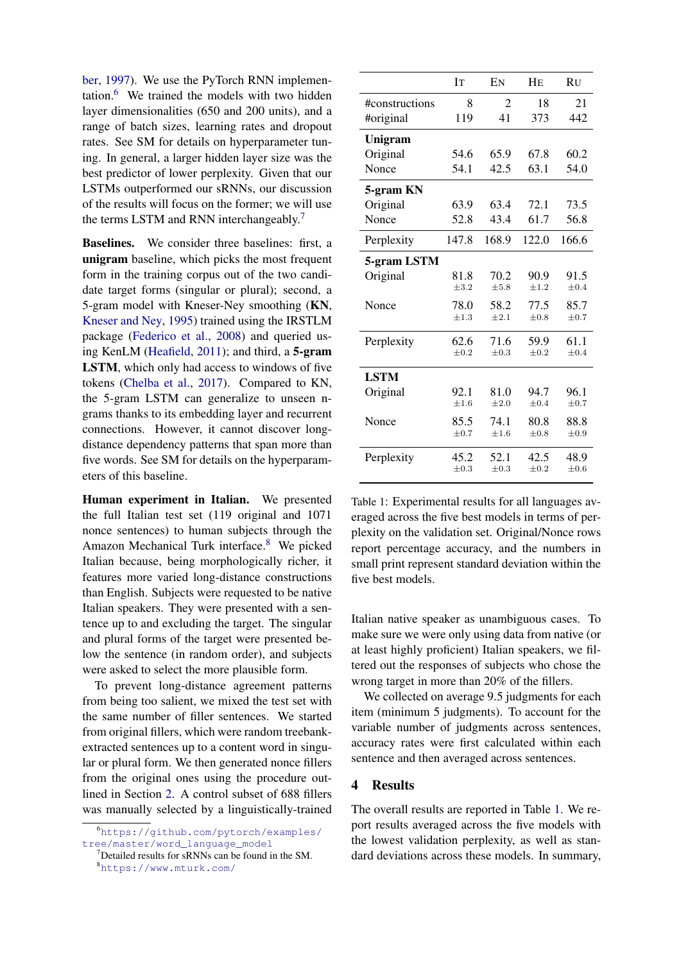[ber,](#page-9-10) [1997\)](#page-9-10). We use the PyTorch RNN implementation.[6](#page-4-1) We trained the models with two hidden layer dimensionalities (650 and 200 units), and a range of batch sizes, learning rates and dropout rates. See SM for details on hyperparameter tuning. In general, a larger hidden layer size was the best predictor of lower perplexity. Given that our LSTMs outperformed our sRNNs, our discussion of the results will focus on the former; we will use the terms LSTM and RNN interchangeably.[7](#page-4-2)

Baselines. We consider three baselines: first, a unigram baseline, which picks the most frequent form in the training corpus out of the two candidate target forms (singular or plural); second, a 5-gram model with Kneser-Ney smoothing (KN, [Kneser and Ney,](#page-9-11) [1995\)](#page-9-11) trained using the IRSTLM package [\(Federico et al.,](#page-9-12) [2008\)](#page-9-12) and queried using KenLM [\(Heafield,](#page-9-13) [2011\)](#page-9-13); and third, a 5-gram LSTM, which only had access to windows of five tokens [\(Chelba et al.,](#page-8-2) [2017\)](#page-8-2). Compared to KN, the 5-gram LSTM can generalize to unseen ngrams thanks to its embedding layer and recurrent connections. However, it cannot discover longdistance dependency patterns that span more than five words. See SM for details on the hyperparameters of this baseline.

Human experiment in Italian. We presented the full Italian test set (119 original and 1071 nonce sentences) to human subjects through the Amazon Mechanical Turk interface.<sup>[8](#page-4-3)</sup> We picked Italian because, being morphologically richer, it features more varied long-distance constructions than English. Subjects were requested to be native Italian speakers. They were presented with a sentence up to and excluding the target. The singular and plural forms of the target were presented below the sentence (in random order), and subjects were asked to select the more plausible form.

To prevent long-distance agreement patterns from being too salient, we mixed the test set with the same number of filler sentences. We started from original fillers, which were random treebankextracted sentences up to a content word in singular or plural form. We then generated nonce fillers from the original ones using the procedure outlined in Section [2.](#page-1-1) A control subset of 688 fillers was manually selected by a linguistically-trained

<span id="page-4-0"></span>

|                | <b>IT</b> | EN             | HE        | <b>RU</b> |
|----------------|-----------|----------------|-----------|-----------|
| #constructions | 8         | $\overline{c}$ | 18        | 21        |
| #original      | 119       | 41             | 373       | 442       |
| Unigram        |           |                |           |           |
| Original       | 54.6      | 65.9           | 67.8      | 60.2      |
| Nonce          | 54.1      | 42.5           | 63.1      | 54.0      |
| 5-gram KN      |           |                |           |           |
| Original       | 63.9      | 63.4           | 72.1      | 73.5      |
| Nonce          | 52.8      | 43.4           | 61.7      | 56.8      |
| Perplexity     | 147.8     | 168.9          | 122.0     | 166.6     |
| 5-gram LSTM    |           |                |           |           |
| Original       | 81.8      | 70.2           | 90.9      | 91.5      |
|                | $\pm 3.2$ | $\pm 5.8$      | $\pm 1.2$ | $\pm 0.4$ |
| Nonce          | 78.0      | 58.2           | 77.5      | 85.7      |
|                | $\pm 1.3$ | $\pm 2.1$      | $\pm 0.8$ | $\pm 0.7$ |
| Perplexity     | 62.6      | 71.6           | 59.9      | 61.1      |
|                | $\pm 0.2$ | $\pm 0.3$      | $\pm 0.2$ | $\pm 0.4$ |
| <b>LSTM</b>    |           |                |           |           |
| Original       | 92.1      | 81.0           | 94.7      | 96.1      |
|                | $\pm 1.6$ | $\pm 2.0$      | $\pm 0.4$ | $\pm 0.7$ |
| Nonce          | 85.5      | 74.1           | 80.8      | 88.8      |
|                | $\pm 0.7$ | $\pm 1.6$      | $\pm 0.8$ | $\pm 0.9$ |
| Perplexity     | 45.2      | 52.1           | 42.5      | 48.9      |
|                | $\pm 0.3$ | $\pm 0.3$      | $\pm 0.2$ | $\pm 0.6$ |

Table 1: Experimental results for all languages averaged across the five best models in terms of perplexity on the validation set. Original/Nonce rows report percentage accuracy, and the numbers in small print represent standard deviation within the five best models.

Italian native speaker as unambiguous cases. To make sure we were only using data from native (or at least highly proficient) Italian speakers, we filtered out the responses of subjects who chose the wrong target in more than 20% of the fillers.

We collected on average 9.5 judgments for each item (minimum 5 judgments). To account for the variable number of judgments across sentences, accuracy rates were first calculated within each sentence and then averaged across sentences.

## 4 Results

The overall results are reported in Table [1.](#page-4-0) We report results averaged across the five models with the lowest validation perplexity, as well as standard deviations across these models. In summary,

<span id="page-4-1"></span><sup>6</sup>[https://github.com/pytorch/examples/](https://github.com/pytorch/examples/tree/master/word_language_model) [tree/master/word\\_language\\_model](https://github.com/pytorch/examples/tree/master/word_language_model)

<span id="page-4-3"></span><span id="page-4-2"></span><sup>7</sup>Detailed results for sRNNs can be found in the SM. <sup>8</sup><https://www.mturk.com/>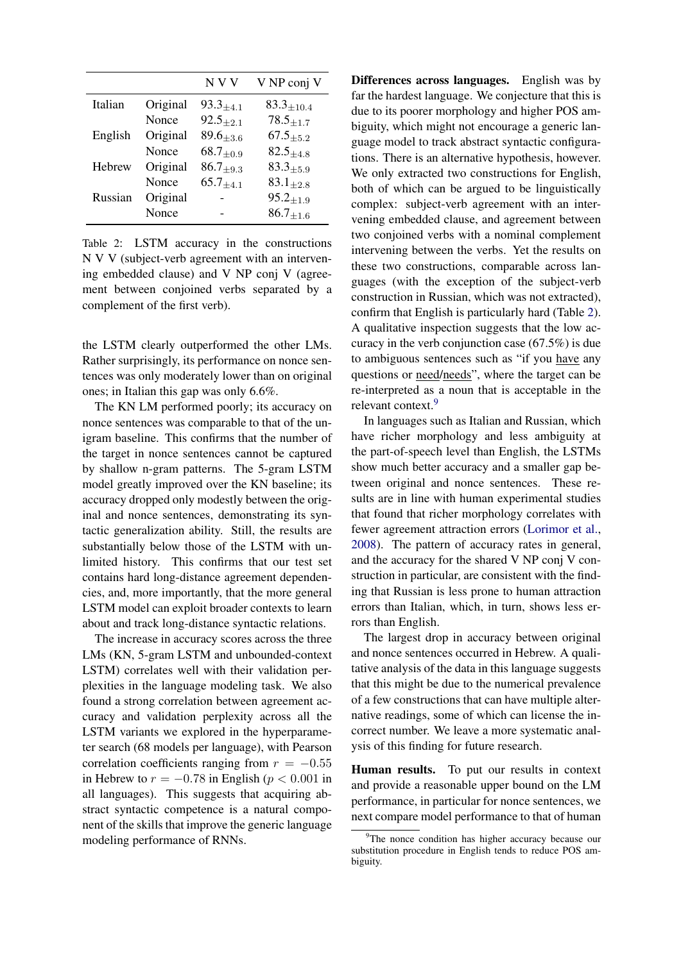<span id="page-5-0"></span>

|         |          | N V V            | V NP conj V                  |
|---------|----------|------------------|------------------------------|
| Italian | Original | $93.3_{\pm 4.1}$ | $83.3{\scriptstyle \pm10.4}$ |
|         | Nonce    | $92.5_{+2.1}$    | $78.5_{\pm{1.7}}$            |
| English | Original | $89.6_{\pm 3.6}$ | $67.5_{+5.2}$                |
|         | Nonce    | $68.7_{+0.9}$    | $82.5{\scriptstyle \pm4.8}$  |
| Hebrew  | Original | $86.7_{\pm 9.3}$ | $83.3 + 5.9$                 |
|         | Nonce    | $65.7_{\pm 4.1}$ | $83.1_{\pm 2.8}$             |
| Russian | Original |                  | $95.2_{\pm 1.9}$             |
|         | Nonce    |                  | $86.7_{\pm 1.6}$             |

Table 2: LSTM accuracy in the constructions N V V (subject-verb agreement with an intervening embedded clause) and V NP conj V (agreement between conjoined verbs separated by a complement of the first verb).

the LSTM clearly outperformed the other LMs. Rather surprisingly, its performance on nonce sentences was only moderately lower than on original ones; in Italian this gap was only 6.6%.

The KN LM performed poorly; its accuracy on nonce sentences was comparable to that of the unigram baseline. This confirms that the number of the target in nonce sentences cannot be captured by shallow n-gram patterns. The 5-gram LSTM model greatly improved over the KN baseline; its accuracy dropped only modestly between the original and nonce sentences, demonstrating its syntactic generalization ability. Still, the results are substantially below those of the LSTM with unlimited history. This confirms that our test set contains hard long-distance agreement dependencies, and, more importantly, that the more general LSTM model can exploit broader contexts to learn about and track long-distance syntactic relations.

The increase in accuracy scores across the three LMs (KN, 5-gram LSTM and unbounded-context LSTM) correlates well with their validation perplexities in the language modeling task. We also found a strong correlation between agreement accuracy and validation perplexity across all the LSTM variants we explored in the hyperparameter search (68 models per language), with Pearson correlation coefficients ranging from  $r = -0.55$ in Hebrew to  $r = -0.78$  in English ( $p < 0.001$  in all languages). This suggests that acquiring abstract syntactic competence is a natural component of the skills that improve the generic language modeling performance of RNNs.

Differences across languages. English was by far the hardest language. We conjecture that this is due to its poorer morphology and higher POS ambiguity, which might not encourage a generic language model to track abstract syntactic configurations. There is an alternative hypothesis, however. We only extracted two constructions for English, both of which can be argued to be linguistically complex: subject-verb agreement with an intervening embedded clause, and agreement between two conjoined verbs with a nominal complement intervening between the verbs. Yet the results on these two constructions, comparable across languages (with the exception of the subject-verb construction in Russian, which was not extracted), confirm that English is particularly hard (Table [2\)](#page-5-0). A qualitative inspection suggests that the low accuracy in the verb conjunction case (67.5%) is due to ambiguous sentences such as "if you have any questions or need/needs", where the target can be re-interpreted as a noun that is acceptable in the relevant context.<sup>[9](#page-5-1)</sup>

In languages such as Italian and Russian, which have richer morphology and less ambiguity at the part-of-speech level than English, the LSTMs show much better accuracy and a smaller gap between original and nonce sentences. These results are in line with human experimental studies that found that richer morphology correlates with fewer agreement attraction errors [\(Lorimor et al.,](#page-9-14) [2008\)](#page-9-14). The pattern of accuracy rates in general, and the accuracy for the shared V NP conj V construction in particular, are consistent with the finding that Russian is less prone to human attraction errors than Italian, which, in turn, shows less errors than English.

The largest drop in accuracy between original and nonce sentences occurred in Hebrew. A qualitative analysis of the data in this language suggests that this might be due to the numerical prevalence of a few constructions that can have multiple alternative readings, some of which can license the incorrect number. We leave a more systematic analysis of this finding for future research.

Human results. To put our results in context and provide a reasonable upper bound on the LM performance, in particular for nonce sentences, we next compare model performance to that of human

<span id="page-5-1"></span><sup>&</sup>lt;sup>9</sup>The nonce condition has higher accuracy because our substitution procedure in English tends to reduce POS ambiguity.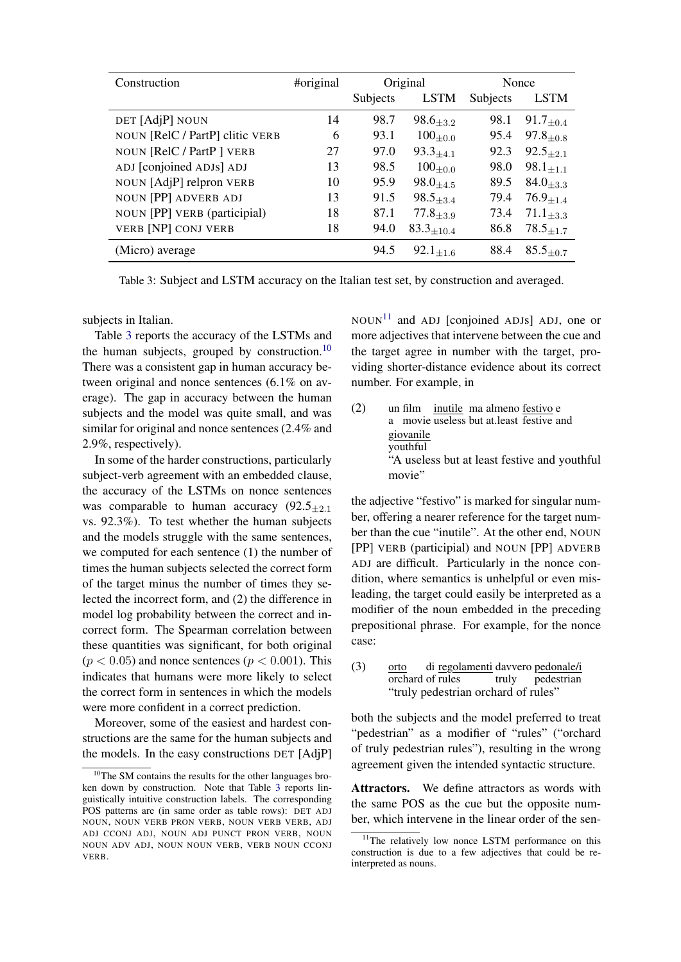<span id="page-6-0"></span>

| Construction                    | #original | Original |                   | Nonce    |                              |
|---------------------------------|-----------|----------|-------------------|----------|------------------------------|
|                                 |           | Subjects | <b>LSTM</b>       | Subjects | <b>LSTM</b>                  |
| DET [AdjP] NOUN                 | 14        | 98.7     | $98.6_{+3.2}$     | 98.1     | $91.7_{\pm 0.4}$             |
| NOUN [RelC / PartP] clitic VERB | 6         | 93.1     | $100_{\pm 0.0}$   | 95.4     | $97.8_{+0.8}$                |
| NOUN [RelC / PartP ] VERB       | 27        | 97.0     | $93.3_{+4.1}$     | 92.3     | $92.5_{+2.1}$                |
| ADJ [conjoined ADJs] ADJ        | 13        | 98.5     | $100_{+0.0}$      | 98.0     | $98.1_{+1.1}$                |
| NOUN [AdjP] relpron VERB        | 10        | 95.9     | $98.0_{+4.5}$     | 89.5     | $84.0_{+3.3}$                |
| <b>NOUN [PP] ADVERB ADJ</b>     | 13        | 91.5     | $98.5 + 3.4$      | 79.4     | $76.9_{+1.4}$                |
| NOUN [PP] VERB (participial)    | 18        | 87.1     | $77.8_{\pm 3.9}$  | 73.4     | $71.1_{+3.3}$                |
| <b>VERB [NP] CONJ VERB</b>      | 18        | 94.0     | $83.3_{\pm 10.4}$ | 86.8     | $78.5_{\pm 1.7}$             |
| (Micro) average                 |           | 94.5     | $92.1_{\pm 1.6}$  | 88.4     | $85.5{\scriptstyle \pm 0.7}$ |

Table 3: Subject and LSTM accuracy on the Italian test set, by construction and averaged.

subjects in Italian.

Table [3](#page-6-0) reports the accuracy of the LSTMs and the human subjects, grouped by construction. $10$ There was a consistent gap in human accuracy between original and nonce sentences (6.1% on average). The gap in accuracy between the human subjects and the model was quite small, and was similar for original and nonce sentences (2.4% and 2.9%, respectively).

In some of the harder constructions, particularly subject-verb agreement with an embedded clause, the accuracy of the LSTMs on nonce sentences was comparable to human accuracy  $(92.5_{+2.1})$ vs. 92.3%). To test whether the human subjects and the models struggle with the same sentences, we computed for each sentence (1) the number of times the human subjects selected the correct form of the target minus the number of times they selected the incorrect form, and (2) the difference in model log probability between the correct and incorrect form. The Spearman correlation between these quantities was significant, for both original  $(p < 0.05)$  and nonce sentences  $(p < 0.001)$ . This indicates that humans were more likely to select the correct form in sentences in which the models were more confident in a correct prediction.

Moreover, some of the easiest and hardest constructions are the same for the human subjects and the models. In the easy constructions DET [AdjP]  $NOUN<sup>11</sup>$  $NOUN<sup>11</sup>$  $NOUN<sup>11</sup>$  and ADJ [conjoined ADJs] ADJ, one or more adjectives that intervene between the cue and the target agree in number with the target, providing shorter-distance evidence about its correct number. For example, in

 $(2)$ a movie useless but at.least festive and film *inutile* ma almeno festivo e giovanile youthful "A useless but at least festive and youthful movie"

the adjective "festivo" is marked for singular number, offering a nearer reference for the target number than the cue "inutile". At the other end, NOUN [PP] VERB (participial) and NOUN [PP] ADVERB ADJ are difficult. Particularly in the nonce condition, where semantics is unhelpful or even misleading, the target could easily be interpreted as a modifier of the noun embedded in the preceding prepositional phrase. For example, for the nonce case:

(3) orto orchard of rules di regolamenti davvero pedonale/i truly pedestrian "truly pedestrian orchard of rules"

both the subjects and the model preferred to treat "pedestrian" as a modifier of "rules" ("orchard of truly pedestrian rules"), resulting in the wrong agreement given the intended syntactic structure.

Attractors. We define attractors as words with the same POS as the cue but the opposite number, which intervene in the linear order of the sen-

<span id="page-6-1"></span> $10$ <sup>10</sup>The SM contains the results for the other languages broken down by construction. Note that Table [3](#page-6-0) reports linguistically intuitive construction labels. The corresponding POS patterns are (in same order as table rows): DET ADJ NOUN, NOUN VERB PRON VERB, NOUN VERB VERB, ADJ ADJ CCONJ ADJ, NOUN ADJ PUNCT PRON VERB, NOUN NOUN ADV ADJ, NOUN NOUN VERB, VERB NOUN CCONJ VERB.

<span id="page-6-2"></span><sup>&</sup>lt;sup>11</sup>The relatively low nonce LSTM performance on this construction is due to a few adjectives that could be reinterpreted as nouns.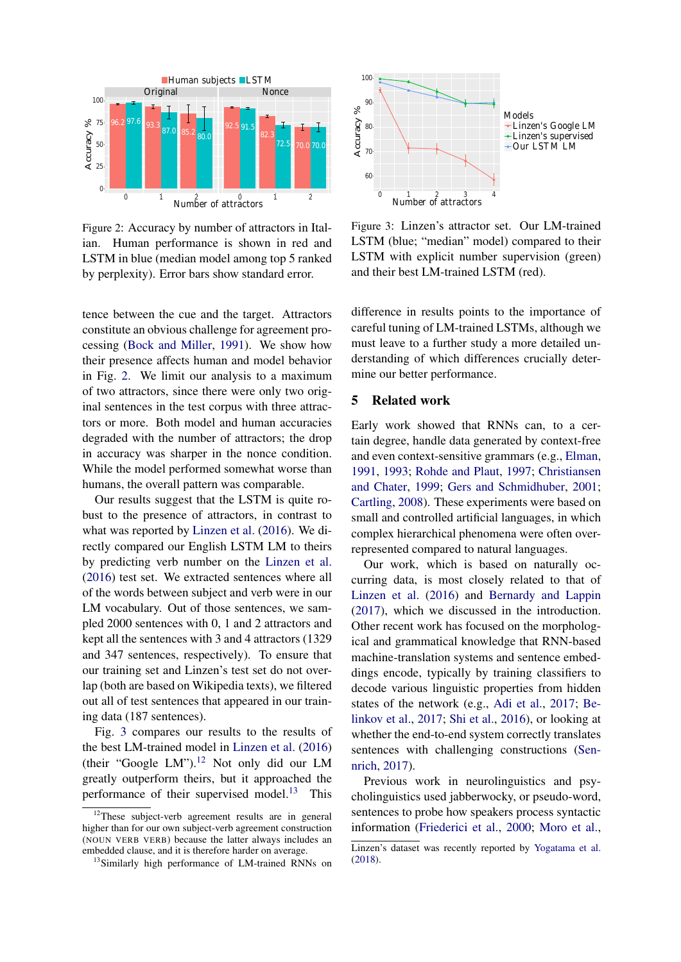<span id="page-7-0"></span>

Figure 2: Accuracy by number of attractors in Italian. Human performance is shown in red and LSTM in blue (median model among top 5 ranked by perplexity). Error bars show standard error.

tence between the cue and the target. Attractors constitute an obvious challenge for agreement processing [\(Bock and Miller,](#page-8-3) [1991\)](#page-8-3). We show how their presence affects human and model behavior in Fig. [2.](#page-7-0) We limit our analysis to a maximum of two attractors, since there were only two original sentences in the test corpus with three attractors or more. Both model and human accuracies degraded with the number of attractors; the drop in accuracy was sharper in the nonce condition. While the model performed somewhat worse than humans, the overall pattern was comparable.

Our results suggest that the LSTM is quite robust to the presence of attractors, in contrast to what was reported by [Linzen et al.](#page-9-7) [\(2016\)](#page-9-7). We directly compared our English LSTM LM to theirs by predicting verb number on the [Linzen et al.](#page-9-7) [\(2016\)](#page-9-7) test set. We extracted sentences where all of the words between subject and verb were in our LM vocabulary. Out of those sentences, we sampled 2000 sentences with 0, 1 and 2 attractors and kept all the sentences with 3 and 4 attractors (1329 and 347 sentences, respectively). To ensure that our training set and Linzen's test set do not overlap (both are based on Wikipedia texts), we filtered out all of test sentences that appeared in our training data (187 sentences).

Fig. [3](#page-7-1) compares our results to the results of the best LM-trained model in [Linzen et al.](#page-9-7) [\(2016\)](#page-9-7) (their "Google LM").<sup>[12](#page-7-2)</sup> Not only did our LM greatly outperform theirs, but it approached the performance of their supervised model.<sup>[13](#page-7-3)</sup> This

<span id="page-7-1"></span>

Figure 3: Linzen's attractor set. Our LM-trained LSTM (blue; "median" model) compared to their LSTM with explicit number supervision (green) and their best LM-trained LSTM (red).

difference in results points to the importance of careful tuning of LM-trained LSTMs, although we must leave to a further study a more detailed understanding of which differences crucially determine our better performance.

### 5 Related work

Early work showed that RNNs can, to a certain degree, handle data generated by context-free and even context-sensitive grammars (e.g., [Elman,](#page-9-2) [1991,](#page-9-2) [1993;](#page-9-15) [Rohde and Plaut,](#page-10-3) [1997;](#page-10-3) [Christiansen](#page-9-16) [and Chater,](#page-9-16) [1999;](#page-9-16) [Gers and Schmidhuber,](#page-9-17) [2001;](#page-9-17) [Cartling,](#page-8-4) [2008\)](#page-8-4). These experiments were based on small and controlled artificial languages, in which complex hierarchical phenomena were often overrepresented compared to natural languages.

Our work, which is based on naturally occurring data, is most closely related to that of [Linzen et al.](#page-9-7) [\(2016\)](#page-9-7) and [Bernardy and Lappin](#page-8-0) [\(2017\)](#page-8-0), which we discussed in the introduction. Other recent work has focused on the morphological and grammatical knowledge that RNN-based machine-translation systems and sentence embeddings encode, typically by training classifiers to decode various linguistic properties from hidden states of the network (e.g., [Adi et al.,](#page-8-5) [2017;](#page-8-5) [Be](#page-8-6)[linkov et al.,](#page-8-6) [2017;](#page-8-6) [Shi et al.,](#page-10-4) [2016\)](#page-10-4), or looking at whether the end-to-end system correctly translates sentences with challenging constructions [\(Sen](#page-10-5)[nrich,](#page-10-5) [2017\)](#page-10-5).

Previous work in neurolinguistics and psycholinguistics used jabberwocky, or pseudo-word, sentences to probe how speakers process syntactic information [\(Friederici et al.,](#page-9-18) [2000;](#page-9-18) [Moro et al.,](#page-9-19)

<span id="page-7-2"></span> $12$ These subject-verb agreement results are in general higher than for our own subject-verb agreement construction (NOUN VERB VERB) because the latter always includes an embedded clause, and it is therefore harder on average.

<span id="page-7-3"></span><sup>&</sup>lt;sup>13</sup>Similarly high performance of LM-trained RNNs on

Linzen's dataset was recently reported by [Yogatama et al.](#page-10-6) [\(2018\)](#page-10-6).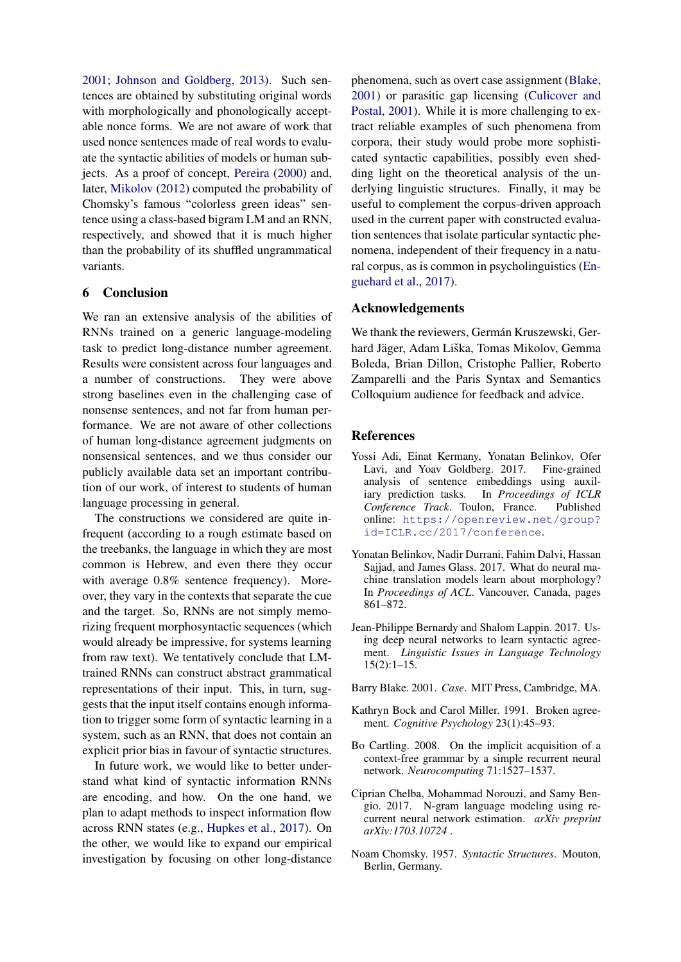[2001;](#page-9-19) [Johnson and Goldberg,](#page-9-20) [2013\)](#page-9-20). Such sentences are obtained by substituting original words with morphologically and phonologically acceptable nonce forms. We are not aware of work that used nonce sentences made of real words to evaluate the syntactic abilities of models or human subjects. As a proof of concept, [Pereira](#page-10-7) [\(2000\)](#page-10-7) and, later, [Mikolov](#page-9-21) [\(2012\)](#page-9-21) computed the probability of Chomsky's famous "colorless green ideas" sentence using a class-based bigram LM and an RNN, respectively, and showed that it is much higher than the probability of its shuffled ungrammatical variants.

## 6 Conclusion

We ran an extensive analysis of the abilities of RNNs trained on a generic language-modeling task to predict long-distance number agreement. Results were consistent across four languages and a number of constructions. They were above strong baselines even in the challenging case of nonsense sentences, and not far from human performance. We are not aware of other collections of human long-distance agreement judgments on nonsensical sentences, and we thus consider our publicly available data set an important contribution of our work, of interest to students of human language processing in general.

The constructions we considered are quite infrequent (according to a rough estimate based on the treebanks, the language in which they are most common is Hebrew, and even there they occur with average 0.8% sentence frequency). Moreover, they vary in the contexts that separate the cue and the target. So, RNNs are not simply memorizing frequent morphosyntactic sequences (which would already be impressive, for systems learning from raw text). We tentatively conclude that LMtrained RNNs can construct abstract grammatical representations of their input. This, in turn, suggests that the input itself contains enough information to trigger some form of syntactic learning in a system, such as an RNN, that does not contain an explicit prior bias in favour of syntactic structures.

In future work, we would like to better understand what kind of syntactic information RNNs are encoding, and how. On the one hand, we plan to adapt methods to inspect information flow across RNN states (e.g., [Hupkes et al.,](#page-9-22) [2017\)](#page-9-22). On the other, we would like to expand our empirical investigation by focusing on other long-distance

phenomena, such as overt case assignment [\(Blake,](#page-8-7) [2001\)](#page-8-7) or parasitic gap licensing [\(Culicover and](#page-9-23) [Postal,](#page-9-23) [2001\)](#page-9-23). While it is more challenging to extract reliable examples of such phenomena from corpora, their study would probe more sophisticated syntactic capabilities, possibly even shedding light on the theoretical analysis of the underlying linguistic structures. Finally, it may be useful to complement the corpus-driven approach used in the current paper with constructed evaluation sentences that isolate particular syntactic phenomena, independent of their frequency in a natural corpus, as is common in psycholinguistics [\(En](#page-9-24)[guehard et al.,](#page-9-24) [2017\)](#page-9-24).

### Acknowledgements

We thank the reviewers, Germán Kruszewski, Gerhard Jäger, Adam Liška, Tomas Mikolov, Gemma Boleda, Brian Dillon, Cristophe Pallier, Roberto Zamparelli and the Paris Syntax and Semantics Colloquium audience for feedback and advice.

### **References**

- <span id="page-8-5"></span>Yossi Adi, Einat Kermany, Yonatan Belinkov, Ofer Lavi, and Yoav Goldberg. 2017. Fine-grained analysis of sentence embeddings using auxiliary prediction tasks. In *Proceedings of ICLR Conference Track*. Toulon, France. Published online: [https://openreview.net/group?](https://openreview.net/group?id=ICLR.cc/2017/conference) [id=ICLR.cc/2017/conference](https://openreview.net/group?id=ICLR.cc/2017/conference).
- <span id="page-8-6"></span>Yonatan Belinkov, Nadir Durrani, Fahim Dalvi, Hassan Sajjad, and James Glass. 2017. What do neural machine translation models learn about morphology? In *Proceedings of ACL*. Vancouver, Canada, pages 861–872.
- <span id="page-8-0"></span>Jean-Philippe Bernardy and Shalom Lappin. 2017. Using deep neural networks to learn syntactic agreement. *Linguistic Issues in Language Technology* 15(2):1–15.
- <span id="page-8-7"></span>Barry Blake. 2001. *Case*. MIT Press, Cambridge, MA.
- <span id="page-8-3"></span>Kathryn Bock and Carol Miller. 1991. Broken agreement. *Cognitive Psychology* 23(1):45–93.
- <span id="page-8-4"></span>Bo Cartling. 2008. On the implicit acquisition of a context-free grammar by a simple recurrent neural network. *Neurocomputing* 71:1527–1537.
- <span id="page-8-2"></span>Ciprian Chelba, Mohammad Norouzi, and Samy Bengio. 2017. N-gram language modeling using recurrent neural network estimation. *arXiv preprint arXiv:1703.10724* .
- <span id="page-8-1"></span>Noam Chomsky. 1957. *Syntactic Structures*. Mouton, Berlin, Germany.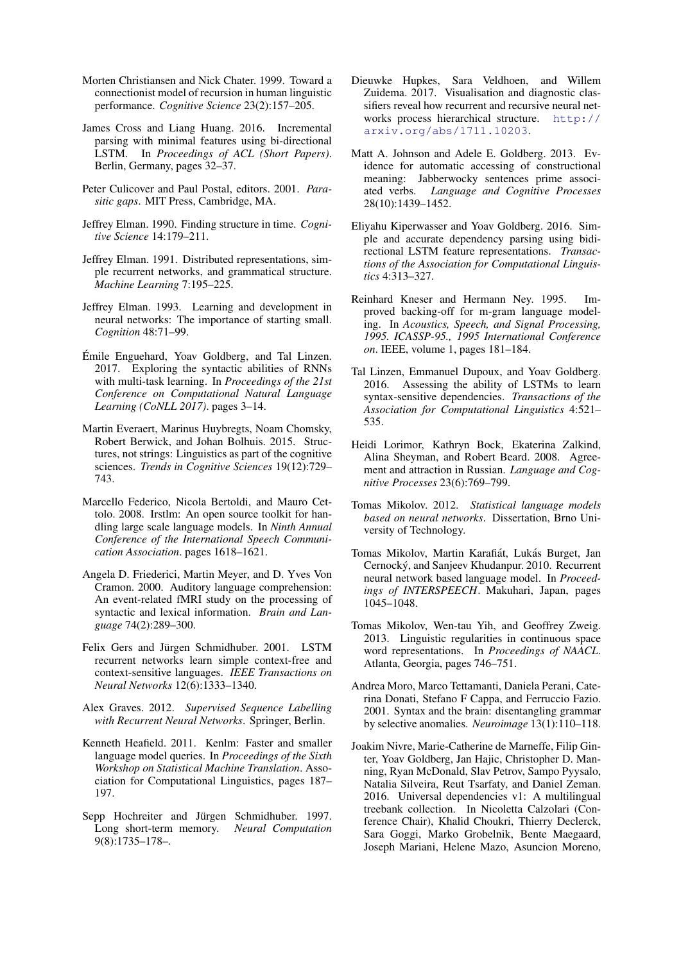- <span id="page-9-16"></span>Morten Christiansen and Nick Chater. 1999. Toward a connectionist model of recursion in human linguistic performance. *Cognitive Science* 23(2):157–205.
- <span id="page-9-5"></span>James Cross and Liang Huang. 2016. Incremental parsing with minimal features using bi-directional LSTM. In *Proceedings of ACL (Short Papers)*. Berlin, Germany, pages 32–37.
- <span id="page-9-23"></span>Peter Culicover and Paul Postal, editors. 2001. *Parasitic gaps*. MIT Press, Cambridge, MA.
- <span id="page-9-0"></span>Jeffrey Elman. 1990. Finding structure in time. *Cognitive Science* 14:179–211.
- <span id="page-9-2"></span>Jeffrey Elman. 1991. Distributed representations, simple recurrent networks, and grammatical structure. *Machine Learning* 7:195–225.
- <span id="page-9-15"></span>Jeffrey Elman. 1993. Learning and development in neural networks: The importance of starting small. *Cognition* 48:71–99.
- <span id="page-9-24"></span>Emile Enguehard, Yoav Goldberg, and Tal Linzen. ´ 2017. Exploring the syntactic abilities of RNNs with multi-task learning. In *Proceedings of the 21st Conference on Computational Natural Language Learning (CoNLL 2017)*. pages 3–14.
- <span id="page-9-1"></span>Martin Everaert, Marinus Huybregts, Noam Chomsky, Robert Berwick, and Johan Bolhuis. 2015. Structures, not strings: Linguistics as part of the cognitive sciences. *Trends in Cognitive Sciences* 19(12):729– 743.
- <span id="page-9-12"></span>Marcello Federico, Nicola Bertoldi, and Mauro Cettolo. 2008. Irstlm: An open source toolkit for handling large scale language models. In *Ninth Annual Conference of the International Speech Communication Association*. pages 1618–1621.
- <span id="page-9-18"></span>Angela D. Friederici, Martin Meyer, and D. Yves Von Cramon. 2000. Auditory language comprehension: An event-related fMRI study on the processing of syntactic and lexical information. *Brain and Language* 74(2):289–300.
- <span id="page-9-17"></span>Felix Gers and Jürgen Schmidhuber. 2001. LSTM recurrent networks learn simple context-free and context-sensitive languages. *IEEE Transactions on Neural Networks* 12(6):1333–1340.
- <span id="page-9-4"></span>Alex Graves. 2012. *Supervised Sequence Labelling with Recurrent Neural Networks*. Springer, Berlin.
- <span id="page-9-13"></span>Kenneth Heafield. 2011. Kenlm: Faster and smaller language model queries. In *Proceedings of the Sixth Workshop on Statistical Machine Translation*. Association for Computational Linguistics, pages 187– 197.
- <span id="page-9-10"></span>Sepp Hochreiter and Jürgen Schmidhuber. 1997. Long short-term memory. *Neural Computation* 9(8):1735–178–.
- <span id="page-9-22"></span>Dieuwke Hupkes, Sara Veldhoen, and Willem Zuidema. 2017. Visualisation and diagnostic classifiers reveal how recurrent and recursive neural networks process hierarchical structure. [http://](http://arxiv.org/abs/1711.10203) [arxiv.org/abs/1711.10203](http://arxiv.org/abs/1711.10203).
- <span id="page-9-20"></span>Matt A. Johnson and Adele E. Goldberg. 2013. Evidence for automatic accessing of constructional meaning: Jabberwocky sentences prime associated verbs. *Language and Cognitive Processes* 28(10):1439–1452.
- <span id="page-9-6"></span>Eliyahu Kiperwasser and Yoav Goldberg. 2016. Simple and accurate dependency parsing using bidirectional LSTM feature representations. *Transactions of the Association for Computational Linguistics* 4:313–327.
- <span id="page-9-11"></span>Reinhard Kneser and Hermann Ney. 1995. Improved backing-off for m-gram language modeling. In *Acoustics, Speech, and Signal Processing, 1995. ICASSP-95., 1995 International Conference on*. IEEE, volume 1, pages 181–184.
- <span id="page-9-7"></span>Tal Linzen, Emmanuel Dupoux, and Yoav Goldberg. 2016. Assessing the ability of LSTMs to learn syntax-sensitive dependencies. *Transactions of the Association for Computational Linguistics* 4:521– 535.
- <span id="page-9-14"></span>Heidi Lorimor, Kathryn Bock, Ekaterina Zalkind, Alina Sheyman, and Robert Beard. 2008. Agreement and attraction in Russian. *Language and Cognitive Processes* 23(6):769–799.
- <span id="page-9-21"></span>Tomas Mikolov. 2012. *Statistical language models based on neural networks*. Dissertation, Brno University of Technology.
- <span id="page-9-3"></span>Tomas Mikolov, Martin Karafiát, Lukás Burget, Jan Cernocky, and Sanjeev Khudanpur. 2010. Recurrent ´ neural network based language model. In *Proceedings of INTERSPEECH*. Makuhari, Japan, pages 1045–1048.
- <span id="page-9-8"></span>Tomas Mikolov, Wen-tau Yih, and Geoffrey Zweig. 2013. Linguistic regularities in continuous space word representations. In *Proceedings of NAACL*. Atlanta, Georgia, pages 746–751.
- <span id="page-9-19"></span>Andrea Moro, Marco Tettamanti, Daniela Perani, Caterina Donati, Stefano F Cappa, and Ferruccio Fazio. 2001. Syntax and the brain: disentangling grammar by selective anomalies. *Neuroimage* 13(1):110–118.
- <span id="page-9-9"></span>Joakim Nivre, Marie-Catherine de Marneffe, Filip Ginter, Yoav Goldberg, Jan Hajic, Christopher D. Manning, Ryan McDonald, Slav Petrov, Sampo Pyysalo, Natalia Silveira, Reut Tsarfaty, and Daniel Zeman. 2016. Universal dependencies v1: A multilingual treebank collection. In Nicoletta Calzolari (Conference Chair), Khalid Choukri, Thierry Declerck, Sara Goggi, Marko Grobelnik, Bente Maegaard, Joseph Mariani, Helene Mazo, Asuncion Moreno,